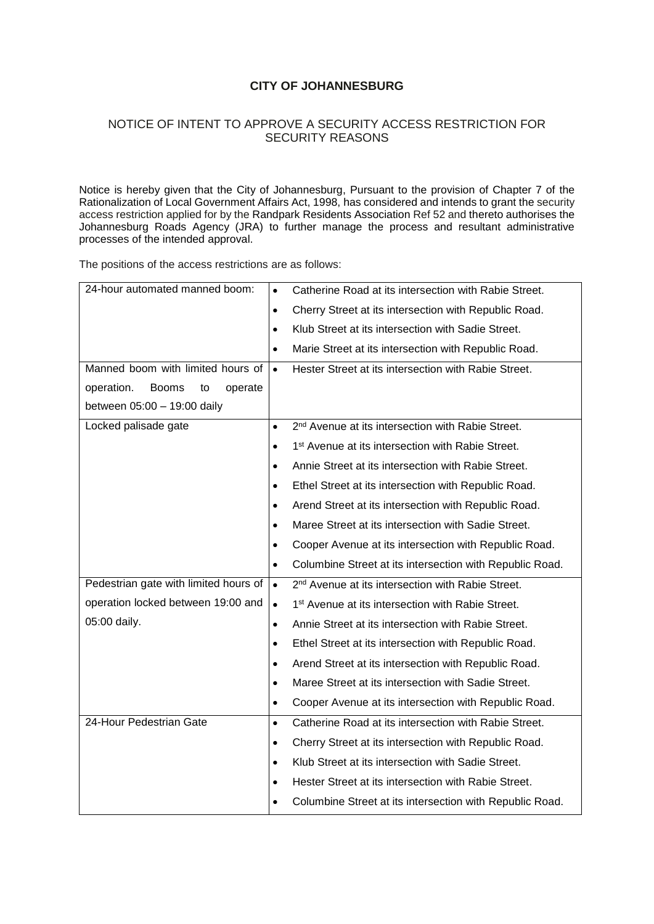## **CITY OF JOHANNESBURG**

## NOTICE OF INTENT TO APPROVE A SECURITY ACCESS RESTRICTION FOR SECURITY REASONS

Notice is hereby given that the City of Johannesburg, Pursuant to the provision of Chapter 7 of the Rationalization of Local Government Affairs Act, 1998, has considered and intends to grant the security access restriction applied for by the Randpark Residents Association Ref 52 and thereto authorises the Johannesburg Roads Agency (JRA) to further manage the process and resultant administrative processes of the intended approval.

The positions of the access restrictions are as follows:

| 24-hour automated manned boom:              | $\bullet$ | Catherine Road at its intersection with Rabie Street.         |  |
|---------------------------------------------|-----------|---------------------------------------------------------------|--|
|                                             | $\bullet$ | Cherry Street at its intersection with Republic Road.         |  |
|                                             | $\bullet$ | Klub Street at its intersection with Sadie Street.            |  |
|                                             | $\bullet$ | Marie Street at its intersection with Republic Road.          |  |
| Manned boom with limited hours of           | $\bullet$ | Hester Street at its intersection with Rabie Street.          |  |
| operation.<br><b>Booms</b><br>operate<br>to |           |                                                               |  |
| between 05:00 - 19:00 daily                 |           |                                                               |  |
| Locked palisade gate                        | $\bullet$ | 2 <sup>nd</sup> Avenue at its intersection with Rabie Street. |  |
|                                             | $\bullet$ | 1 <sup>st</sup> Avenue at its intersection with Rabie Street. |  |
|                                             | $\bullet$ | Annie Street at its intersection with Rabie Street.           |  |
|                                             | $\bullet$ | Ethel Street at its intersection with Republic Road.          |  |
|                                             | $\bullet$ | Arend Street at its intersection with Republic Road.          |  |
|                                             |           | Maree Street at its intersection with Sadie Street.           |  |
|                                             | $\bullet$ | Cooper Avenue at its intersection with Republic Road.         |  |
|                                             | $\bullet$ | Columbine Street at its intersection with Republic Road.      |  |
| Pedestrian gate with limited hours of       | $\bullet$ | 2 <sup>nd</sup> Avenue at its intersection with Rabie Street. |  |
| operation locked between 19:00 and          | $\bullet$ | 1 <sup>st</sup> Avenue at its intersection with Rabie Street. |  |
| 05:00 daily.                                | $\bullet$ | Annie Street at its intersection with Rabie Street.           |  |
|                                             | ٠         | Ethel Street at its intersection with Republic Road.          |  |
|                                             | $\bullet$ | Arend Street at its intersection with Republic Road.          |  |
|                                             | $\bullet$ | Maree Street at its intersection with Sadie Street.           |  |
|                                             | $\bullet$ | Cooper Avenue at its intersection with Republic Road.         |  |
| 24-Hour Pedestrian Gate                     | $\bullet$ | Catherine Road at its intersection with Rabie Street.         |  |
|                                             | $\bullet$ | Cherry Street at its intersection with Republic Road.         |  |
|                                             | $\bullet$ | Klub Street at its intersection with Sadie Street.            |  |
|                                             | $\bullet$ | Hester Street at its intersection with Rabie Street.          |  |
|                                             |           | Columbine Street at its intersection with Republic Road.      |  |